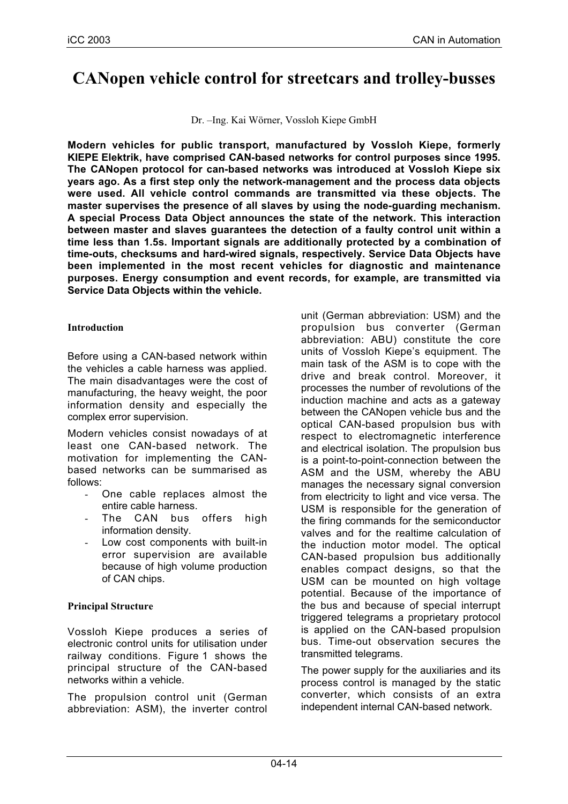# **CANopen vehicle control for streetcars and trolley-busses**

Dr. –Ing. Kai Wörner, Vossloh Kiepe GmbH

**Modern vehicles for public transport, manufactured by Vossloh Kiepe, formerly KIEPE Elektrik, have comprised CAN-based networks for control purposes since 1995. The CANopen protocol for can-based networks was introduced at Vossloh Kiepe six years ago. As a first step only the network-management and the process data objects were used. All vehicle control commands are transmitted via these objects. The master supervises the presence of all slaves by using the node-guarding mechanism. A special Process Data Object announces the state of the network. This interaction between master and slaves guarantees the detection of a faulty control unit within a time less than 1.5s. Important signals are additionally protected by a combination of time-outs, checksums and hard-wired signals, respectively. Service Data Objects have been implemented in the most recent vehicles for diagnostic and maintenance purposes. Energy consumption and event records, for example, are transmitted via Service Data Objects within the vehicle.**

## **Introduction**

Before using a CAN-based network within the vehicles a cable harness was applied. The main disadvantages were the cost of manufacturing, the heavy weight, the poor information density and especially the complex error supervision.

Modern vehicles consist nowadays of at least one CAN-based network. The motivation for implementing the CANbased networks can be summarised as follows:

- One cable replaces almost the entire cable harness.
- The CAN bus offers high information density.
- Low cost components with built-in error supervision are available because of high volume production of CAN chips.

# **Principal Structure**

Vossloh Kiepe produces a series of electronic control units for utilisation under railway conditions. Figure 1 shows the principal structure of the CAN-based networks within a vehicle.

The propulsion control unit (German abbreviation: ASM), the inverter control unit (German abbreviation: USM) and the propulsion bus converter (German abbreviation: ABU) constitute the core units of Vossloh Kiepe's equipment. The main task of the ASM is to cope with the drive and break control. Moreover, it processes the number of revolutions of the induction machine and acts as a gateway between the CANopen vehicle bus and the optical CAN-based propulsion bus with respect to electromagnetic interference and electrical isolation. The propulsion bus is a point-to-point-connection between the ASM and the USM, whereby the ABU manages the necessary signal conversion from electricity to light and vice versa. The USM is responsible for the generation of the firing commands for the semiconductor valves and for the realtime calculation of the induction motor model. The optical CAN-based propulsion bus additionally enables compact designs, so that the USM can be mounted on high voltage potential. Because of the importance of the bus and because of special interrupt triggered telegrams a proprietary protocol is applied on the CAN-based propulsion bus. Time-out observation secures the transmitted telegrams.

The power supply for the auxiliaries and its process control is managed by the static converter, which consists of an extra independent internal CAN-based network.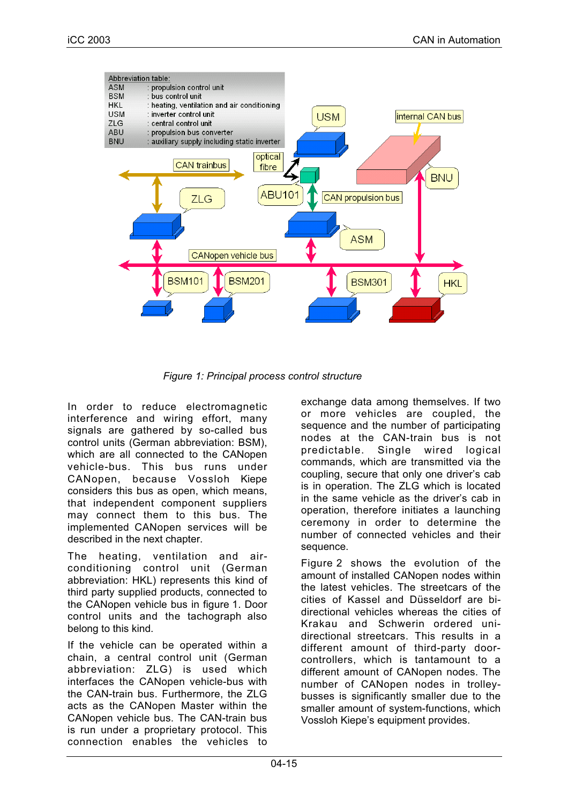

*Figure 1: Principal process control structure*

In order to reduce electromagnetic interference and wiring effort, many signals are gathered by so-called bus control units (German abbreviation: BSM), which are all connected to the CANopen vehicle-bus. This bus runs under CANopen, because Vossloh Kiepe considers this bus as open, which means, that independent component suppliers may connect them to this bus. The implemented CANopen services will be described in the next chapter.

The heating, ventilation and airconditioning control unit (German abbreviation: HKL) represents this kind of third party supplied products, connected to the CANopen vehicle bus in figure 1. Door control units and the tachograph also belong to this kind.

If the vehicle can be operated within a chain, a central control unit (German abbreviation: ZLG) is used which interfaces the CANopen vehicle-bus with the CAN-train bus. Furthermore, the ZLG acts as the CANopen Master within the CANopen vehicle bus. The CAN-train bus is run under a proprietary protocol. This connection enables the vehicles to exchange data among themselves. If two or more vehicles are coupled, the sequence and the number of participating nodes at the CAN-train bus is not predictable. Single wired logical commands, which are transmitted via the coupling, secure that only one driver's cab is in operation. The ZLG which is located in the same vehicle as the driver's cab in operation, therefore initiates a launching ceremony in order to determine the number of connected vehicles and their sequence.

Figure 2 shows the evolution of the amount of installed CANopen nodes within the latest vehicles. The streetcars of the cities of Kassel and Düsseldorf are bidirectional vehicles whereas the cities of Krakau and Schwerin ordered unidirectional streetcars. This results in a different amount of third-party doorcontrollers, which is tantamount to a different amount of CANopen nodes. The number of CANopen nodes in trolleybusses is significantly smaller due to the smaller amount of system-functions, which Vossloh Kiepe's equipment provides.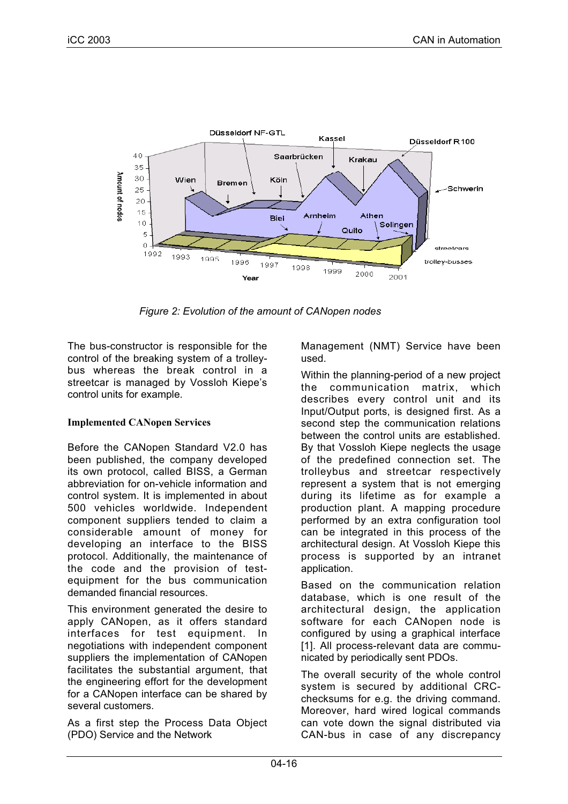

*Figure 2: Evolution of the amount of CANopen nodes*

The bus-constructor is responsible for the control of the breaking system of a trolleybus whereas the break control in a streetcar is managed by Vossloh Kiepe's control units for example.

#### **Implemented CANopen Services**

Before the CANopen Standard V2.0 has been published, the company developed its own protocol, called BISS, a German abbreviation for on-vehicle information and control system. It is implemented in about 500 vehicles worldwide. Independent component suppliers tended to claim a considerable amount of money for developing an interface to the BISS protocol. Additionally, the maintenance of the code and the provision of testequipment for the bus communication demanded financial resources.

This environment generated the desire to apply CANopen, as it offers standard interfaces for test equipment. In negotiations with independent component suppliers the implementation of CANopen facilitates the substantial argument, that the engineering effort for the development for a CANopen interface can be shared by several customers.

As a first step the Process Data Object (PDO) Service and the Network

Management (NMT) Service have been used.

Within the planning-period of a new project the communication matrix, which describes every control unit and its Input/Output ports, is designed first. As a second step the communication relations between the control units are established. By that Vossloh Kiepe neglects the usage of the predefined connection set. The trolleybus and streetcar respectively represent a system that is not emerging during its lifetime as for example a production plant. A mapping procedure performed by an extra configuration tool can be integrated in this process of the architectural design. At Vossloh Kiepe this process is supported by an intranet application.

Based on the communication relation database, which is one result of the architectural design, the application software for each CANopen node is configured by using a graphical interface [1]. All process-relevant data are communicated by periodically sent PDOs.

The overall security of the whole control system is secured by additional CRCchecksums for e.g. the driving command. Moreover, hard wired logical commands can vote down the signal distributed via CAN-bus in case of any discrepancy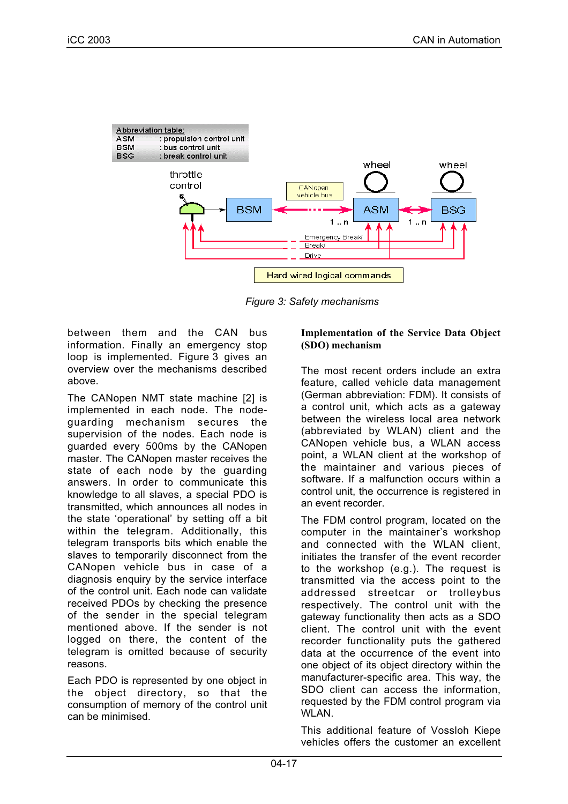

*Figure 3: Safety mechanisms*

between them and the CAN bus information. Finally an emergency stop loop is implemented. Figure 3 gives an overview over the mechanisms described above.

The CANopen NMT state machine [2] is implemented in each node. The nodeguarding mechanism secures the supervision of the nodes. Each node is guarded every 500ms by the CANopen master. The CANopen master receives the state of each node by the guarding answers. In order to communicate this knowledge to all slaves, a special PDO is transmitted, which announces all nodes in the state 'operational' by setting off a bit within the telegram. Additionally, this telegram transports bits which enable the slaves to temporarily disconnect from the CANopen vehicle bus in case of a diagnosis enquiry by the service interface of the control unit. Each node can validate received PDOs by checking the presence of the sender in the special telegram mentioned above. If the sender is not logged on there, the content of the telegram is omitted because of security reasons.

Each PDO is represented by one object in the object directory, so that the consumption of memory of the control unit can be minimised.

## **Implementation of the Service Data Object (SDO) mechanism**

The most recent orders include an extra feature, called vehicle data management (German abbreviation: FDM). It consists of a control unit, which acts as a gateway between the wireless local area network (abbreviated by WLAN) client and the CANopen vehicle bus, a WLAN access point, a WLAN client at the workshop of the maintainer and various pieces of software. If a malfunction occurs within a control unit, the occurrence is registered in an event recorder.

The FDM control program, located on the computer in the maintainer's workshop and connected with the WLAN client, initiates the transfer of the event recorder to the workshop (e.g.). The request is transmitted via the access point to the addressed streetcar or trolleybus respectively. The control unit with the gateway functionality then acts as a SDO client. The control unit with the event recorder functionality puts the gathered data at the occurrence of the event into one object of its object directory within the manufacturer-specific area. This way, the SDO client can access the information, requested by the FDM control program via WLAN.

This additional feature of Vossloh Kiepe vehicles offers the customer an excellent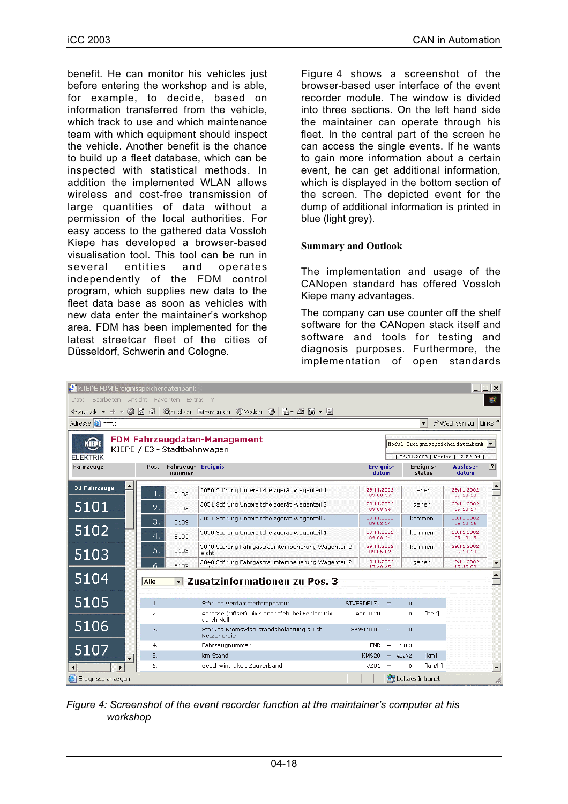benefit. He can monitor his vehicles just before entering the workshop and is able, for example, to decide, based on information transferred from the vehicle, which track to use and which maintenance team with which equipment should inspect the vehicle. Another benefit is the chance to build up a fleet database, which can be inspected with statistical methods. In addition the implemented WLAN allows wireless and cost-free transmission of large quantities of data without a permission of the local authorities. For easy access to the gathered data Vossloh Kiepe has developed a browser-based visualisation tool. This tool can be run in several entities and operates independently of the FDM control program, which supplies new data to the fleet data base as soon as vehicles with new data enter the maintainer's workshop area. FDM has been implemented for the latest streetcar fleet of the cities of Düsseldorf, Schwerin and Cologne.

Figure 4 shows a screenshot of the browser-based user interface of the event recorder module. The window is divided into three sections. On the left hand side the maintainer can operate through his fleet. In the central part of the screen he can access the single events. If he wants to gain more information about a certain event, he can get additional information, which is displayed in the bottom section of the screen. The depicted event for the dump of additional information is printed in blue (light grey).

## **Summary and Outlook**

The implementation and usage of the CANopen standard has offered Vossloh Kiepe many advantages.

The company can use counter off the shelf software for the CANopen stack itself and software and tools for testing and diagnosis purposes. Furthermore, the implementation of open standards

| E KIEPE FDM Ereignisspeicherdatenbank -                                                                                                |                |                                     |                                                                 |              |                                                                         |     |                |                            |                        | $ \Box$ $\times$         |
|----------------------------------------------------------------------------------------------------------------------------------------|----------------|-------------------------------------|-----------------------------------------------------------------|--------------|-------------------------------------------------------------------------|-----|----------------|----------------------------|------------------------|--------------------------|
| 編<br>Bearbeiten Ansicht Favoriten Extras<br>- 2<br>Datei                                                                               |                |                                     |                                                                 |              |                                                                         |     |                |                            |                        |                          |
| △   QSuchen 图Favoriten ③   △   △ ● ■ ▼ 目<br>$\Leftrightarrow$ Zurück $\blacktriangleright$ $\blacktriangleright$ $\blacktriangleright$ |                |                                     |                                                                 |              |                                                                         |     |                |                            |                        |                          |
| Links <sup>&gt;&gt;</sup><br>Adresse <b>i</b> http:<br>$\mathcal{O}$ Wechseln zu<br>$\overline{\phantom{a}}$                           |                |                                     |                                                                 |              |                                                                         |     |                |                            |                        |                          |
| <b>FDM Fahrzeugdaten-Management</b><br>KIEPE<br>KIEPE / E3 - Stadtbahnwagen<br><b>FLEKTRIK</b>                                         |                |                                     |                                                                 |              | Modul Ereignisspeicherdatenbank v<br>[ 06.01.2003   Montag   12:52:04 ] |     |                |                            |                        |                          |
| Fahrzeuge                                                                                                                              | Pos.           | <b>Fahrzeug-</b> Ereignis<br>nummer |                                                                 |              | Ereignis-<br>datum                                                      |     |                | Ereignis-<br>status        | Auslese-<br>datum      | ?                        |
| 31 Fahrzeuge                                                                                                                           | $\mathbf{1}$ . | 5103                                | C050 Störung Untersitzheizgerät Wagenteil 1                     |              | 29.11.2002<br>09:08:37                                                  |     |                | gehen                      | 29.11.2002<br>09:10:18 | $\triangle$              |
| 5101                                                                                                                                   | 2.             | 5103                                | C051 Störung Untersitzheizgerät Wagenteil 2                     |              | 29.11.2002<br>09:08:36                                                  |     |                | gehen                      | 29.11.2002<br>09:10:17 |                          |
|                                                                                                                                        | 3.             | 5103                                | C051 Störung Untersitzheizgerät Wagenteil 2                     |              | 29.11.2002<br>09:08:24                                                  |     |                | kommen                     | 29.11.2002<br>09:10:16 |                          |
| 5102                                                                                                                                   | 4.             | 5103                                | C050 Störung Untersitzheizgerät Wagenteil 1                     |              | 29.11.2002<br>09:08:24                                                  |     |                | kommen                     | 29.11.2002<br>09:10:15 |                          |
| 5103                                                                                                                                   | 5.             | 5103                                | C048 Störung Fahrgastraumtemperierung Wagenteil 2<br>leicht     |              | 29.11.2002<br>09:05:02                                                  |     |                | kommen                     | 29.11.2002<br>09:10:13 |                          |
|                                                                                                                                        |                | 5103                                | C048 Störung Fahrgastraumtemperierung Wagenteil 2               |              | 19.11.2002<br>17-40-45                                                  |     |                | gehen                      | 19.11.2002<br>17-45-00 | ≛                        |
| 5104                                                                                                                                   | Alle           |                                     | Zusatzinformationen zu Pos. 3                                   |              |                                                                         |     |                |                            |                        | $\overline{\phantom{0}}$ |
| 5105                                                                                                                                   | 1.             |                                     | Störung Verdampfertemperatur                                    | STVERDF171   |                                                                         | $=$ | $\overline{0}$ |                            |                        |                          |
|                                                                                                                                        | 2.             |                                     | Adresse (Offset) Divisionsbefehl bei Fehler: Div.<br>durch Null | Adr Div0     |                                                                         | $=$ | 0              | [hex]                      |                        |                          |
| 5106                                                                                                                                   | 3.             |                                     | Störung Bremswiderstandsbelastung durch<br>Netzenergie          | $SBWIN101 =$ |                                                                         |     | $\Omega$       |                            |                        |                          |
| 5107                                                                                                                                   | 4.             |                                     | Fahrzeugnummer                                                  |              | <b>FNR</b>                                                              | $=$ | 5103           |                            |                        |                          |
|                                                                                                                                        | 5.             |                                     | km-Stand                                                        | KMS20        |                                                                         | $=$ | 41272          | [km]                       |                        |                          |
|                                                                                                                                        | 6.             |                                     | Geschwindigkeit Zugverband                                      |              | VZ01                                                                    | $=$ | 0              | [km/h]                     |                        |                          |
| Ereignisse anzeigen                                                                                                                    |                |                                     |                                                                 |              |                                                                         |     |                | <b>ER</b> Lokales Intranet |                        | h                        |

*Figure 4: Screenshot of the event recorder function at the maintainer's computer at his workshop*